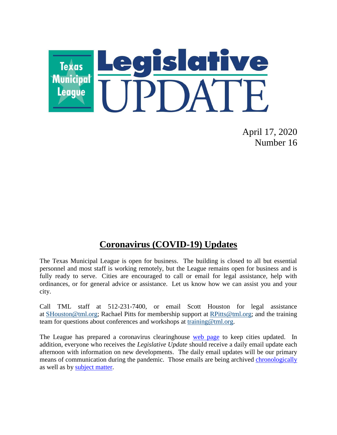

April 17, 2020 Number 16

## **Coronavirus (COVID-19) Updates**

The Texas Municipal League is open for business. The building is closed to all but essential personnel and most staff is working remotely, but the League remains open for business and is fully ready to serve. Cities are encouraged to call or email for legal assistance, help with ordinances, or for general advice or assistance. Let us know how we can assist you and your city.

Call TML staff at 512-231-7400, or email Scott Houston for legal assistance at [SHouston@tml.org;](mailto:SHouston@tml.org) Rachael Pitts for membership support at [RPitts@tml.org;](mailto:RPitts@tml.org) and the training team for questions about conferences and workshops at [training@tml.org.](mailto:training@tml.org)

The League has prepared a coronavirus clearinghouse [web page](https://www.tml.org/654/Coronavirus-COVID-19-Resources) to keep cities updated. In addition, everyone who receives the *Legislative Update* should receive a daily email update each afternoon with information on new developments. The daily email updates will be our primary means of communication during the pandemic. Those emails are being archived [chronologically](https://www.tml.org/Blog.aspx?CID=2) as well as by [subject matter.](https://www.tml.org/659/TML-Coronavirus-Updates-listed-by-subjec)